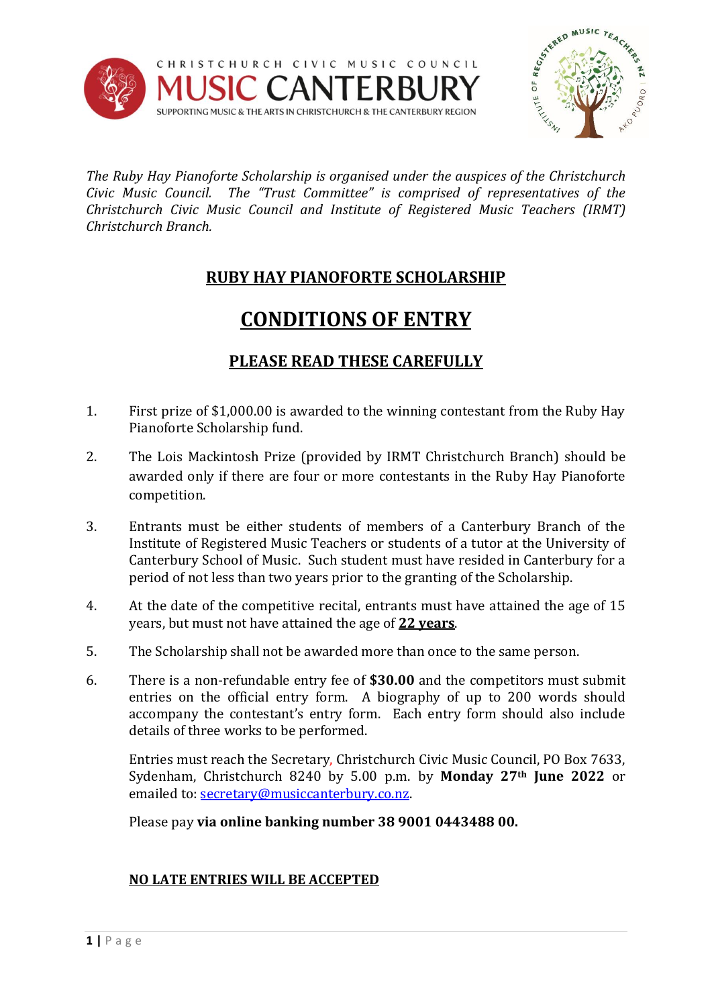



*The Ruby Hay Pianoforte Scholarship is organised under the auspices of the Christchurch Civic Music Council. The "Trust Committee" is comprised of representatives of the Christchurch Civic Music Council and Institute of Registered Music Teachers (IRMT) Christchurch Branch.*

## **RUBY HAY PIANOFORTE SCHOLARSHIP**

## **CONDITIONS OF ENTRY**

## **PLEASE READ THESE CAREFULLY**

- 1. First prize of \$1,000.00 is awarded to the winning contestant from the Ruby Hay Pianoforte Scholarship fund.
- 2. The Lois Mackintosh Prize (provided by IRMT Christchurch Branch) should be awarded only if there are four or more contestants in the Ruby Hay Pianoforte competition.
- 3. Entrants must be either students of members of a Canterbury Branch of the Institute of Registered Music Teachers or students of a tutor at the University of Canterbury School of Music. Such student must have resided in Canterbury for a period of not less than two years prior to the granting of the Scholarship.
- 4. At the date of the competitive recital, entrants must have attained the age of 15 years, but must not have attained the age of **22 years**.
- 5. The Scholarship shall not be awarded more than once to the same person.
- 6. There is a non-refundable entry fee of **\$30.00** and the competitors must submit entries on the official entry form. A biography of up to 200 words should accompany the contestant's entry form. Each entry form should also include details of three works to be performed.

Entries must reach the Secretary, Christchurch Civic Music Council, PO Box 7633, Sydenham, Christchurch 8240 by 5.00 p.m. by **Monday 27th June 2022** or emailed to[: secretary@musiccanterbury.co.nz.](mailto:secretary@musiccanterbury.co.nz) 

Please pay **via online banking number 38 9001 0443488 00.** 

## **NO LATE ENTRIES WILL BE ACCEPTED**